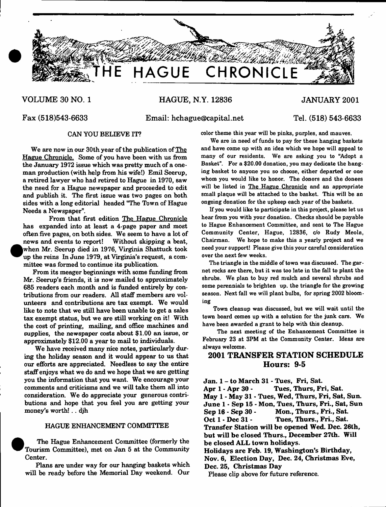

# **VOLUME 30 NO. 1 HAGUE, N.Y. 12836 JANUARY 2001**

## **Fax (518)543-6633 Email: [hchague@capital.net](mailto:hchague@capital.net) Tel. (518) 543-6633**

We are now in our 30th year of the publication of The Hague Chronicle. Some of you have been with us from the January 1972 issue which was pretty much of a oneman production (with help from his wife!) Emil Seerup, a retired lawyer who had retired to Hague in 1970, saw the need for a Hague newspaper and proceeded to edit and publish it. The first issue was two pages on both sides with a long editorial headed "The Town of Hague Needs a Newspaper".

From that first edition The Hague Chronicle has expanded into at least a 4-page paper and most often five pages, on both sides. We seem to have a lot of news and events to report! Without skipping a beat, ^w w hen Mr. Seerup died in 1976, Virginia Shattuck took up the reins In June 1979, at Virginia's request, a committee was formed to continue its publication.

From its meager beginnings with some funding from Mr. Seerup's friends, it is now mailed to approximately 685 readers each month and is funded entirely by contributions from our readers. All staff members are volunteers and contributions are tax exempt. We would like to note that we still have been unable to get a sales tax exempt status, but we are still working on it! With the cost of printing, mailing, and office machines and supplies, the newspaper costs about \$1.00 an issue, or approximately \$12.00 a year to mail to individuals.

We have received many nice notes, particularly during the holiday season and it would appear to us that our efforts are appreciated. Needless to say the entire staff enjoys what we do and we hope that we are getting you the information that you want. We encourage your comments and criticisms and we will take them all into consideration. We do appreciate your generous contributions and hope that you feel you are getting your money's worth! . . djh

### HAGUE ENHANCEMENT COMMITTEE

<sup>•</sup> The Hague Enhancement Committee (formerly the Tourism Committee), met on Jan 5 at the Community Center.

Plans are under way for our hanging baskets which will be ready before the Memorial Day weekend. Our

CAN YOU BELIEVE IT? color theme this year will be pinks, purples, and mauves.

We are in need of funds to pay for these hanging baskets and have come up with an idea which we hope will appeal to many of our residents. We are asking you to "Adopt a Basket". For a \$20.00 donation, you may dedicate the hanging basket to anyone you so choose, either departed or one whom you would like to honor. The donors and the donees will be listed in The Hague Chronicle and an appropriate small plaque will be attached to the basket. This will be an ongoing donation for the upkeep each year of the baskets.

If you would like to participate in this project, please let us hear from you with your donation. Checks should be payable to Hague Enhancement Committee, and sent to The Hague Community Center, Hague, 12836, *do* Rudy Meola, Chairman. We hope to make this a yearly project and we need your support! Please give this your careful consideration over the next few weeks.

The triangle in the middle of town was discussed. The garnet rocks are there, but it was too late in the fall to plant the shrubs. We plan to buy red mulch and several shrubs and some perennials to brighten up. the triangle for the growing season. Next fall we will plant bulbs, for spring 2002 blooming

Town cleanup was discussed, but we will wait until the town board comes up with a solution for the junk cars. We have been awarded a grant to help with this cleanup.

The next meeting of the Enhancement Committee is February 23 at 3PM at the Community Center. Ideas are always welcome.

# **2001 TRANSFER STATION SCHEDULE Hours: 9-5**

**Jan. 1 - to March 31 - Tues, Fri, Sat. Apr 1 - Apr 30 - Tues, Thurs, Fri, Sat. May 1 - May 31 \* Tues, Wed, Thurs, Fri, Sat, Sun. June 1 • Sep 15 - Mon, Tues, Thurs, Fri., Sat, Sun Sep 16 - Sep 30 - Mon., Thurs., Fri., Sat. Oct 1 - Dec 31 - Tues, Thurs., Fri., Sat. Transfer Station will be opened Wed. Dec. 26th, but will be closed Thurs., December 27th. Will be closed ALL town holidays. Holidays are Feb. 19, Washington's Birthday, Nov. 6, Election Day, Dec. 24, Christmas Eve, Dec. 25, Christmas Day** Please clip above for future reference.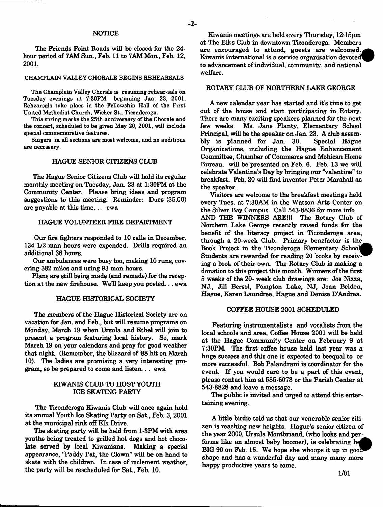#### - **2**-

### **NOTICE**

The Friends Point Roads will be closed for the 24 hour period of 7AM Sun., Feb. 11 to 7AM Mon., Feb. 12, **2001.**

#### CHAMPLAIN VALLEY CHORALE BEGINS REHEARSALS

The Champlain Valley Chorale is resuming rehear-sals on Tuesday evenings at 7:30PM beginning Jan. 23, 2001. Rehearsals take place in the Fellowship Hall of the First United Methodist Church, Wicker St., Ticonderoga.

This spring marks the 25th anniversary of the Chorale and the concert, scheduled to be given May 20, 2001, will include special commemorative features.

Singers in all sections are most welcome, and no auditions are necessary.

#### HAGUE SENIOR CITIZENS CLUB

The Hague Senior Citizens Club will hold its regular monthly meeting on Tuesday, Jan. 23 at 1:30PM at the Community Center. Please bring ideas and program suggestions to this meeting. Reminder: Dues (\$5.00) are payable at this time... ewa

#### HAGUE VOLUNTEER FIRE DEPARTMENT

Our fire fighters responded to 10 calls in December. 134 1/2 man hours were expended. Drills required an additional 36 hours.

Our ambulances were busy too, making 10 runs, covering 382 miles and using 93 man hours.

Plans are still being made (and remade) for the reception at the new firehouse. Well keep you posted... ewa

#### HAGUE HISTORICAL SOCIETY

The members of the Hague Historical Society are on vacation for Jan. and Feb., but will resume programs on Monday, March 19 when Ursula and Ethel will join to present a program featuring local history. So, mark March 19 on your calendars and pray for good weather that night. (Remember, the blizzard of '88 hit on March 10). The ladies are promising a very interesting program, so be prepared to come and listen... ewa

### KIWANIS CLUB TO HOST YOUTH ICE SKATING PARTY

The Ticonderoga Kiwanis Club will once again hold its annual Youth Ice Skating Party on Sat., Feb. 3,2001 at the municipal rink off Elk Drive.

The skating party will be held from 1-3PM with area youths being treated to grilled hot dogs and hot chocolate served by local Kiwanians. Making a special appearance, "Paddy Pat, the Clown" will be on hand to skate with the children. In case of inclement weather, the party will be rescheduled for Sat., Feb. 10.

Kiwanis meetings are held every Thursday, 12:15pm at The Elks Club in downtown Ticonderoga. Members are encouraged to attend, guests are welcomed. Kiwanis International is a service organization devoted to advancement of individual, community, and national welfare.

#### ROTARY CLUB OF NORTHERN LAKE GEORGE

A new calendar year has started and it's time to get out of the house and start participating in Rotary. There are many exciting speakers planned for the next<br>few weeks. Ms. Jane Planty, Elementary School Ms. Jane Planty, Elementary School Principal, will be the speaker on Jan. 23. A club assembly is planned for Jan. 30. Organizations, including the Hague Enhancement Committee, Chamber of Commerce and Mohican Home Bureau, will be presented on Feb. 6. Feb. 13 we will celebrate Valentine's Day by bringing our "valentine" to breakfast. Feb. 20 will find inventor Peter Marshall as the speaker.

Visitors are welcome to the breakfast meetings held every Tues. at 7:30AM in the Watson Arts Center on the Silver Bay Campus. Call 543-8836 for more info. AND THE WINNERS ARE!!! The Rotary Club of Northern Lake George recently raised funds for the benefit of the literacy project in Ticonderoga area, through a 20-week Club. Primary benefactor is the^\_ Book Project in the Ticonderoga Elementary School Students are rewarded for reading 20 books by receiv ing a book of their own. The Rotary Club is making a donation to this project this month. Winners of the first 5 weeks of the 20- week club drawings are: Joe Nizza, NJ., Jill Bersol, Pompton Lake, NJ, Joan Belden, Hague, Karen Laundree, Hague and Denise D'Andrea.

#### COFFEE HOUSE 2001 SCHEDULED

Featuring instrumentalists and vocalists from the local schools and area, Coffee House 2001 will be held at the Hague Community Center on February 9 at 7:30PM. The first coffee house held last year was a huge success and this one is expected to beequal to or more successful. Bob Palandrani is coordinator for the event. If you would care to be a part of this event, please contact him at 585-6073 or the Parish Center at 543-8828 and leave a message.

The public is invited and urged to attend this entertaining evening.

A little birdie told us that our venerable senior citizen is reaching new heights. Hague's senior citizen of the year 2000, Ursula Montbriand, (who looks and performs like an almost baby boomer), is celebrating he BIG 90 on Feb. 15. We hope she whoops it up in good shape and has a wonderful day and many many more happy productive years to come.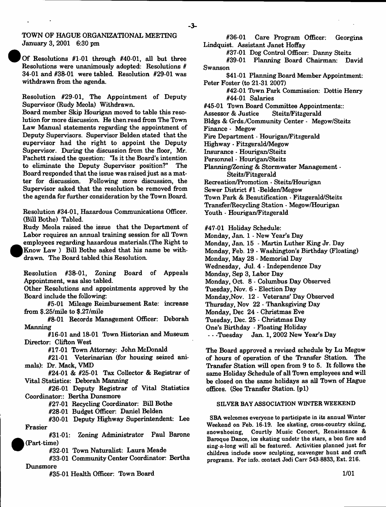TOWN OF HAGUE ORGANIZATIONAL MEETING January 3, 2001 6:30 pm

Of Resolutions #1-01 through #40-01, all but three Resolutions were unanimously adopted: Resolutions # 34-01 and #38-01 were tabled. Resolution #29-01 was withdrawn from the agenda.

Resolution #29-01, The Appointment of Deputy Supervisor (Rudy Meola) Withdrawn.

Board member Skip Hourigan moved to table this resolution for more discussion. He then read from The Town Law Manual statements regarding the appointment of Deputy Supervisors. Supervisor Belden stated that the supervisor had the right to appoint the Deputy Supervisor. During the discussion from the floor, Mr. Pachett raised the question: 'Is it the Board's intention to eliminate the Deputy Supervisor position?" The Board responded that the issue was raised just as a matter for discussion. Following more discussion, the Supervisor asked that the resolution be removed from the agenda for further consideration by the Town Board.

Resolution #34-01, Hazardous Communications Officer. (Bill Bothe) Tabled.

Rudy Meola raised the issue that the Department of Labor requires an annual training session for all Town employees regarding hazardous materials.(The Right to | Know Law ) Bill Bothe asked that his name be withdrawn. The Board tabled this Resolution.

Resolution #38-01, Zoning Board of Appeals Appointment, was also tabled.

Other Resolutions and appointments approved by the Board include the following:

#5-01 Mileage Reimbursement Rate: increase from \$.25/mile to \$.27/mile

#8-01 Records Management Officer: Deborah Manning

#16-01 and 18-01 Town Historian and Museum Director: Clifton West

#17-01 Town Attorney: John McDonald

#21-01 Veterinarian (for housing seized animals): Dr. Mack, VMD

#24-01 & #25-01 Tax Collector & Registrar of Vital Statistics: Deborah Manning

#26-01 Deputy Registrar of Vital Statistics Coordinator: Bertha Dunsmore

#27-01 Recycling Coordinator: Bill Bothe

#28-01 Budget Officer. Daniel Belden

#30-01 Deputy Highway Superintendent: Lee Frasier

#31-01: Zoning Administrator Paul Barone (Part-time)

#32-01 Town Naturalist: Laura Meade

#33-01 Community Center Coordinator: Bertha Dunsmore

#35-01 Health Officer: Town Board

#36-01 Care Program Officer: Georgina Lindquist. Assistant Janet Hoffay

#37-01 Dog Control Officer: Danny Steitz

#39-01 Planning Board Chairman: David Swanson

\$41 -01 Planning Board Member Appointment: Peter Foster (to 21-31 2007)

#42-01 Town Park Commission: Dottie Henry #44-01 Salaries

#45-01 Town Board Committee Appointments::

Assessor & Justice

Bldgs & Grds./Community Center - Megow/Steitz

Finance - Megow

Fire Department - Hourigan/Fitzgerald

Highway - Fitzgerald/Megow

Insurance \* Hourigan/Steitz

Personnel - Hourigan/Steitz

Planning/Zoning & Stormwater Management - Steitz/Fitzgerald

Recreation/Promotion - Steitz/Hourigan

Sewer District #1 -Belden/Megow

Town Park & Beautification - Fitzgerald/Steitz

Transfer/Recycling Station - Megow/Hourigan

Youth - Hourigan/Fitzgerald

#47-01 Holiday Schedule:

- Monday, Jan. 1 New Year's Day
- Monday, Jan. 15 Martin Luther King Jr. Day
- Monday, Feb. 19 Washington's Birthday (Floating)

Monday, May 28 - Memorial Day

Wednesday, Jul. 4 - Independence Day

Monday, Sep 3, Labor Day

Monday, Oct. 8 - Columbus Day Observed

Tuesday, Nov. 6 - Election Day

Monday,Nov. 12 - Veterans' Day Observed

Thursday, Nov 22 - Thanksgiving Day

Monday, Dec 24 - Christmas Eve

Tuesday, Dec. 25 - Christmas Day

One's Birthday - Floating Holiday — Tuesday Jan. 1, 2002 New Year's Day

The Board approved a revised schedule by Lu Megow of hours of operation of the Transfer Station. The

Transfer Station will open from 9 to 5. It follows the same Holiday Schedule of all Town employees and will be closed on the same holidays as all Town of Hague offices. (See Transfer Station, [p1)

### SILVER BAY ASSOCIATION WINTER WEEKEND

SBA welcomes everyone to participate in its annual Winter Weekend on Feb. 16-19. Ice skating, cross-country skiing, snowshoeing, Courtly Music Concert, Renaissance & Baroque Dance, ice skating undetr the stars, a bon fire and sing-a-long will all be featured. Activities planned just for children include snow sculpting, scavenger hunt and craft programs. For info, contact Jodi Carr 543-8833, Ext. 216.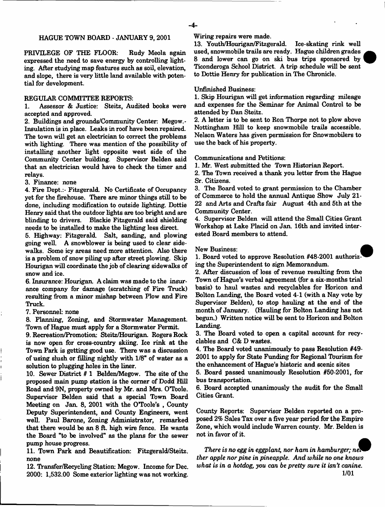### HAGUE TOWN BOARD - JANUARY 9, 2001

PRIVILEGE OF THE FLOOR: Rudy Meola again expressed the need to save energy by controlling lighting. After studying map features such as soil, elevation, and slope, there is very little land available with potential for development.

### REGULAR COMMITTEE REPORTS:

1. Assessor & Justice: Steitz, Audited books were accepted and approved.

2. Buildings and grounds/Community Center: Megow. - Insulation is in place. Leaks in roof have been repaired. The town will get an electrician to correct the problems with lighting. There was mention of the possibility of installing another light opposite west side of the Community Center building. Supervisor Belden said that an electrician would have to check the timer and relays.

3. Finance: none

4. Fire Dept.:- Fitzgerald. No Certificate of Occupancy yet for the firehouse. There are minor things still to be done, including modification to outside lighting. Dottie Henry said that the outdoor lights are too bright and are blinding to drivers. Blackie Fitzgerald said shielding needs to be installed to make the lighting less direct.

5. Highway: Fitzgerald. Salt, sanding, and plowing going well. A snowblower is being used to clear sidewalks. Some icy areas need more attention. Also there is a problem of snow piling up after street plowing. Skip Hourigan will coordinate the job of clearing sidewalks of snow and ice.

6. Insurance: Hourigan. A claim was made to the insurance company for damage (scratching of Fire Truck) resulting from a minor mishap between Plow and Fire Truck.

7. Personnel: none

8. Planning, Zoning, and Stormwater Management. Town of Hague must apply for a Stormwater Permit.

9. Recreation/Promotion: Steitz/Hourigan. Rogers Rock is now open for cross-country skiing. Ice rink at the Town Park is getting good use. There was a discussion of using slush or filling nightly with 1/8" of water as a solution to plugging holes in the liner.

10. Sewer District # 1 Belden/Megow. The site of the proposed main pump station is the comer of Dodd Hill Road and 9N, property owned by Mr. and Mrs. O'Toole. Supervisor Belden said that a special Town Board Meeting on Jan. 8, 2001 with the O'Toole's , County Deputy Superintendent, and County Engineers, went well. Paul Barone, Zoning Administrator, remarked that there would be an 8 ft. high wire fence. He wants the Board "to be involved" as the plans for the sewer pump house progress.

11. Town Park and Beautification: Fitzgerald/Steitz. none

12. Transfer/Recycling Station: Megow. Income for Dec. 2000: 1,532.00 Some exterior lighting was not working.

Wiring repairs were made.

13. Youth/Hourigan/Fitzgeraid. Ice-skating rink well used, snowmobile trails are ready. Hague children grades 8 and lower can go on ski bus trips sponsored by Ticonderoga School District. A trip schedule will be sent to Dottie Henry for publication in The Chronicle.

#### Unfinished Business:

1. Skip Hourigan will get information regarding mileage and expenses for the Seminar for Animal Control to be attended by Dan Steitz.

2. A letter is to be sent to Ron Thorpe not to plow above Nottingham Hill to keep snowmobile trails accessible. Nelson Waters has given permission for Snowmobilers to use the back of his property.

Communications and Petitions:

1. Mr. West submitted the Town Historian Report.

2. The Town received a thank you letter from the Hague Sr. Citizens.

3. The Board voted to grant permission to the Chamber of Commerce to hold the annual Antique Show July 21- 22 and Arts and Crafts fair August 4th and 5th at the Community Center.

4. Supervisor Belden will attend the Small Cities Grant Workshop at Lake Placid on Jan. 16th and invited interested Board members to attend.

#### New Business: *m*

1. Board voted to approve Resolution #48-2001 authorizing the Superintendent to sign Memorandum.

2. After discussion of loss of revenue resulting from the Town of Hague's verbal agreement (for a six-months trial basis) to haul wastes and recyclables for Horicon and Bolton Landing, the Board voted 4-1 (with a Nay vote by Supervisor Belden), to stop hauling at the end of the month of January. (Hauling for Bolton Landing has not begun.) Written notice will be sent to Horicon and Bolton Landing.

3. The Board voted to open a capital account for recyclables and C& D wastes.

4. The Board voted unanimously to pass Resolution #49- 2001 to apply for State Funding for Regional Tourism for the enhancement of Hague's historic and scenic sites

5. Board passed unanimously Resolution #50-2001, for bus transportation.

6. Board accepted unanimously the audit for the Small Cities Grant.

County Reports: Supervisor Belden reported on a proposed *2%* Sales Tax over a five year period for the Empire Zone, which would include Warren county. Mr. Belden is not in favor of it.

*There* is no egg in eggplant, nor ham in hamburger; net *tker apple nor pine in pineapple. And while no one knows what is in a hotdog, you can be pretty sure it isn't canine*. **1/01**



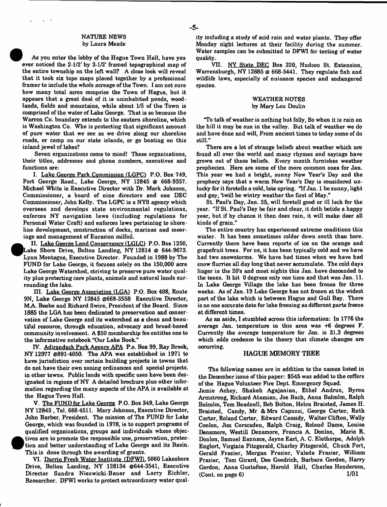#### NATURE NEWS by Laura Meade

As you enter the lobby of the Hague Town Hall, have you ever noticed the 2-1/2' by 3-1/2' framed topographical map of the entire township on the left wall? A dose look will reveal that it took six topo maps placed together by a professional framer to include the whole acreage of the Town. I am not sure how many total acres oomprise the Town of Hague, but it appears that a great deal of it is uninhabited ponds, woodlands, fields and mountains, while about 1/5 of the Town is comprised of the water of Lake George. That is so because the Warren Co. boundary extends to the eastern shoreline, which is Washington Co. Who is protecting that significant amount of pure water that we see as we drive along our shoreline roads, or camp on our state islands, or go boating on this inland jewel of lakes?

Seven organizations come to mind! These organizations, their titles, addresses and phone numbers, executives and functions are:

I. Lake George Park Commission (LGPC) P.O. Box 749, Port George Road., Lake George, NY 12845 @ 668-9357. Michael White is Executive Director with Dr. Mark Johnson, Commissioner, a board of nine directors and one DEC Commissioner, John Kelly. The LGPC is a NYS agency which oversees and develops state environmental regulations, enforces NY navigation laws (including regulations for Personal Water Craft) and enforces laws pertaining to shoreline development, construction of docks, marinas and moorings and management of Eurasion milfoil.

II. Lake George Land Conservancy (LGLC) P.O. Box 1250, Lake Shore Drive, Bolton Landing, NY 12814  $@$  644-9673. Lynn Montagne, Executive Director. Founded in 1988 by The FUND for Lake George, it focuses solely on the 150,000 acre Lake George Watershed, striving to preserve pure water quality plus protecting care plants, animals and natural lands surrounding the lake.

**#**

HI. Lake George Association (LGA) P.O. Box 408, Route 9N, Lake George NY 12845 @668-3558 Executive Director, MA. Beebe and Richard Swire, President of the Board. Since 1885 the LGA has been dedicated to preservation and conservation of Lake George and its watershed as a dean and beautiful resource, through education, advocacy and broad-based community involvement. A \$50 membership fee entitles one to the informative notebook "Our Lake Book."

IV. Adirondack Park Agency APA P.o. Box 99, Ray Brook, NY 12977 @891-4050. The APA was established in 1971 to have jurisdiction over certain building projects in towns that do not have their own zoning ordinances and spedal projects, in other towns. Public lands with specific uses have been designated in regions of NY A detailed brochure plus other information regarding the many aspects of the APA is available at the Hague Town Hall.

V. The FUND for Lake George P.O. Box 349, Lake George NY 12845 , Tel. 668-4511. Mary Johnson, Executive Director, John Barber, President. The mission of The FUND for Lake George, which was founded in 1978, is to support programs of qualified organizations, groups and individuals whose objectives are to promote the responsible use, preservation, protection and better understanding of Lake George and its Basin. This is done through the awarding of grants.

VI. Darrin Fresh Water Institute (DFWI). 5060 Lakeshore Drive, Bolton Landing, NY 128134 @644-3541, Executive Director Sandra Niezwicki-Bauer and Larry Eichler, Researcher. DFWI works to protect extraordinary water quality including a study of acid rain and water plants. They offer Monday night lectures at their facility during the summer. Water samples can be submitted to DFWI for testing of water quality.

VII. NY State DEC Box 220, Hudson St. Extension, Warrensburgh, NY 12885 @ 668-5441. They regulate fish and wildlife laws, especially of nuisance species and endangered species.

#### WEATHER NOTES by Mary Lou Doulin

"To talk of weather is nothing but folly, So when it is rain on the hill it may be sun in the valley. But talk of weather we do and have done and will, From ancient times to today some of do still."

There are a lot of strange beliefs about weather which are found all over the world and many rhymes and sayings have grown out of these beliefs. Every month furnishes weather prophecies. Here are some of the more common ones for Jan. This year we had a bright, sunny New Year's Day and the prophecy says that a warm New Year's Day is considered unlucky for it foretells a cold, late spring. "If Jan. 1 be sunny, light and gay, 'twill be wintry weather the first of May."

St. Paul's Day, Jan. 25, will foretell good or ill luck for the year. "If St. Paul's Day be fair and clear, it doth betide a happy year, but if by chance it then does rain, it will make deer all kinds of grain."

The entire country has experienced extreme conditions this winter. It has been sometimes colder down south than here. Currently there have been reports of ice on the orange and grapefruit trees. For us, it has been typically cold and we have had two snowstorms. We have had times when we have had snow flurries all day long that never accumulate. The cold days linger in the 20's and most nights this Jan. have descended to the teens. It hit 0 degrees only one time and that was Jan. 11. In Lake George Village the lake has been frozen for three weeks. As of Jan. 19 Lake George has not frozen at the widest part of the lake which is between Hague and Gull Bay. There is no one accurate date for lake freezing as different parts freeze at different times.

As an aside, I stumbled across this information: In 1776 the average Jan. temperature in this area was +6 degrees F. Currently the average temperature for Jan. is 31.3 degrees which adds credence to the theory that climate changes are occurring.

#### HAGUE MEMORY TREE

The following names are in addition to the names listed in the December issue of this paper: \$545 was added to the coffers of the Hague Volunteer Fire Dept. Emergency Squad.

Jamie Achey, Shakeh Agajanian, Ethel Andrus, Byron Armstrong, Richard Atamian, Joe Bach, Anna Balcolm, Ralph Balcolm, Tom Beadnell, Bob Bolton, Helen Braisted, James H. Braisted, Candy, Mr & Mrs Capuzzi, George Carter, Ruth Carter, Roland Carter, Edward Cassidy, Walter Clifton, Wally Conlon, Jim Corscaden, Ralph Craig, Roland Dame, Louise Densmore, Westill Densmore, Francis A. Donlon, Marie R. Donlon, Samuel Eannace, Jayne Earl, A. C. Elethorpe, Adolph Englert, Virginia Fitzgerald, Charley Fitzgerald, Chuck Fort, Gerald Frazier, Morgan Frazier, Valeda Frazier, William Frazier, Tom Girard, Dee Goodrich, Barbara Gordon, Harry Gordon, Anna Gustafson, Harold Hall, Charles Henderson,  $(Cont. on page 6)$  1/01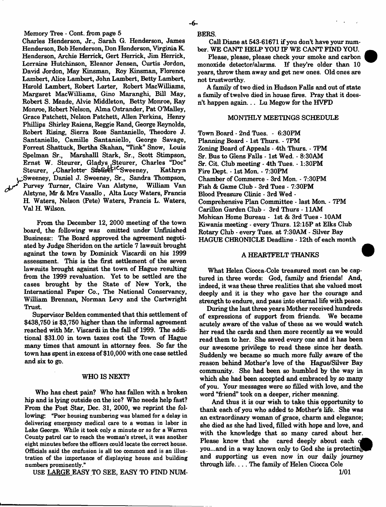Memory Tree - Cont. from page 5

Charles Henderson, Jr., Sarah G. Henderson, Janies Henderson, Bob Henderson, Don Henderson, Virginia K. Henderson, Archie Herrick, Gert Herrick, Jim Herrick, Lorraine Hutchinson, Eleanor Jensen, Curtis Jordon, David Jordon, May Kinsman, Roy Kinsman, Florence Lambert, Alice Lambert, John Lambert, Betty Lambert, Harold Lambert, Robert Larter, Robert MacWilliams, Margaret MacWilliams, Gino Maranghi, Bill May, Robert S. Meade, Alvie Middleton, Betty Monroe, Ray Monroe, Robert Nelson, Alma Ostrander, Pat O'Malley, Grace Patchett, Nelson Patchett, Allen Perkins, Henry Phillips Shirley Raiens, Reggie Rand, George Reynolds, Robert Rising, Sierra Rose Santaniello, Theodore J. Santaniello, Camille Santaniello, George Savage, Forrest Shattuck, Bertha Skahan, "Tink" Snow, Louis Spelman Sr., Marshalll Stark, Sr., Scott Stimpson, Ernst W. Steurer, Gladys .Steurer, Charles "Doc" Steurer, Charlotte Steurer<sup>1</sup>CSweeney, Kathryn ^Sweeney, Daniel J. Sweeney, Sr., Sandra Thompson, i Purvey Turner, Claire Van Alstyne, William Van Alstyne, Mr & Mrs Vasallo , Alta Lucy Waters, Francis H. Waters, Nelson (Pete) Waters, Francis L. Waters, Val H. Wilson.

From the December 12, 2000 meeting of the town board, the following was omitted under Unfinished Business:: The Board approved the agreement negotiated by Judge Sheridon on the article 7 lawsuit brought against the town by Dominick Viscardi on his 1999 assessment. This is the first settlement of the seven lawsuits brought against the town of Hague resulting from the 1999 revaluation. Yet to be settled are the cases brought by the State of New York, the International Paper Co., The National Conservancy, William Brennan, Norman Levy and the Cartwright Trust.

Supervisor Belden commented that this settlement of \$438,750 is \$3,750 higher than the informal agreement reached with Mr. Viscardi in the fall of 1999. The additional \$31.00 in town taxes cost the Town of Hague many times that amount in attorney fees. So far the town has spent in excess of \$10,000 with one case settled and six to go.

#### WHO IS NEXT?

Who has chest pain? Who has fallen with a broken hip and is lying outside on the ice? Who needs help fast? From the Post Star, Dec. 31, 2000, we reprint the following: "Poor housing numbering was blamed for a delay in delivering emergency medical care to a woman in labor in Lake George. While it took only a minute or so for a Warren County patrol car to reach the woman's street, it was another eight minutes before the officers could locate the correct house. Officials said the confusion is all too common and is an illustration of the importance of displaying house and building numbers prominently."

USE LARGE EASY TO SEE, EASY TO FIND NUM-

BERS.

Call Diane at **543-61671** if you don't have your number. WE CANT HELP YOU IF WE CANT FIND YOU.

Please, please, please check your smoke and carbon monoxide detector/alarms. If they're older than **10** years, throw them away and get new ones. Old ones are not trustworthy.

A family of two died in Hudson Falls and out of state a family of twelve died in house fires. Pray that it doesn't happen again... Lu Megow for the HVFD

#### MONTHLY MEETINGS SCHEDULE

Town Board - 2nd Tues. - 6:30PM Planning Board - 1st Thurs. - 7PM Zoning Board of Appeals - 4th Thurs. - 7PM Sr. Bus to Glens Falls - 1st Wed. - 8:30AM Sr. Cit. Club meeting - 4th Tues. - 1:30PM Fire Dept. - 1st Mon. - 7:30PM Chamber of Commerce - 3rd Mon. - 7:30PM Fish & Game Club - 3rd Tues - 7:30PM Blood Pressure Clinic - 3rd Wed - Comprehensive Plan Committee - last Mon. - 7PM Carillon Garden Club - 3rd Thurs - 11AM Mohican Home Bureau - 1st & 3rd Tues - 10AM Kiwanis meeting - every Thurs. 12:15P at Elks Club Rotary Club - every Tues. at 7:30AM - Silver Bay HAGUE CHRONICLE Deadline - 12th of each month

### A HEARTFELT THANKS

What Helen Ciocca-Cole treasured most can be captured in three words: God, family and friends! And, indeed, it was these three realities that she valued most deeply and it is they who gave her the courage and strength to endure, and pass into eternal life with peace.

During the last three years Mother received hundreds of expressions of support from friends. We became acutely aware of the value of these as we would watch her read the cards and then more recently as we would read them to her. She saved every one and it has been our awesome privilege to read these since her death. Suddenly we became so much more fully aware of the reason behind Mother's love of the Hague/Silver Bay community. She had been so humbled by the way in which she had been accepted and embraced by so many of you. Your messages were so filled with love, and the word "friend" took on a deeper, richer meaning.

And thus it is our wish to take this opportunity to thank each of you who added to Mother's life. She was an extraordinary woman of grace, charm and elegance; she died as she had lived, filled with hope and love, and with the knowledge that so many cared about her. Please know that she cared deeply about each of you...and in a way known only to God she is protecting and supporting us even now in our daily journey through life.... The family of Helen Ciocca Cole

1/01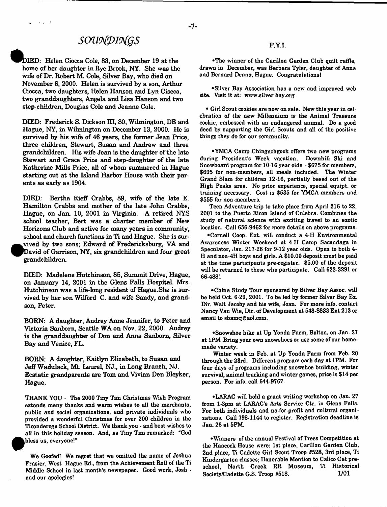# *sowdpi\*(gs*

DIED: Helen Ciocca Cole, 83, on December 19 at the home of her daughter in Rye Brook, NY. She was the wife of Dr. Robert M. Cole, Silver Bay, who died on November 6, 2000. Helen is survived by a son, Arthur Ciocca, two daughters, Helen Hanson and Lyn Ciocca, two granddaughters, Angela and Lisa Hanson and two step-children, Douglas Cole and Jeanne Cole.

DIED: Frederick S. Dickson III, 80, Wilmington, DE and Hague, NY, in Wilmington on December 13, 2000. He is survived by his wife of 46 years, the former Jean Price, three children, Stewart, Susan and Andrew and three grandchildren. His wife Jean is the daughter of the late Stewart and Grace Price and step-daughter of the late Katherine Mills Price, all of whom summered in Hague starting out at the Island Harbor House with their parents as early as 1904.

DIED: Bertha Rieff Crabbs, 89, wife of the late E. Hamilton Crabbs and mother of the late John Crabbs, Hague, on Jan. 10, 2001 in Virginia. A retired NYS school teacher, Bert was a charter member of New Horizons Club and active for many years in community, school and church functions in Ti and Hague. She is sur- **•** vived by two sons; Edward of Fredericksburg, VA and David of Garrison, NY, six grandchildren and four great grandchildren

DIED: Madelene Hutchinson, 85, Summit Drive, Hague, on January 14, 2001 in the Glens Falls Hospital. Mrs. Hutchinson was a life-long resident of Hague.She is survived by her son Wilford C. and wife Sandy, and grandson, Peter.

BORN: A daughter, Audrey Anne Jennifer, to Peter and Victoria Sanborn, Seattle WA on Nov. 22, 2000. Audrey is the granddaughter of Don and Anne Sanborn, Silver Bay and Venice, FL.

BORN: A daughter, Kaitlyn Elizabeth, to Susan and Jeff Wadulack, Mt. Laurel, NJ., in Long Branch, NJ. Ecstatic grandparents are Tom and Vivian Den Bleyker, Hague.

THANK YOU - The 2000 Tiny Tim Christmas Wish Program extends many thanks and warm wishes to all the merchants, public and social organizations, and private individuals who provided a wonderful Christmas for over 200 children in the Ticonderoga School District. We thank you - and best wishes to all in this holiday season. And, as Tiny Tim remarked: "God bless us, everyone!"

We Goofed! We regret that we omitted the name of Joshua Frasier, West Hague Rd., from the Achievement Roll of the Ti Middle School in last month's newspaper. Good work, Josh and our apologies!

### F.Y.I.

•The winner of the Carillon Garden Club quilt raffle, drawn in December, was Barbara Tyler, daughter of Anna and Bernard Denno, Hague. Congratulations!

•Silver Bay Association has a new and improved web site. Visit it at: [www.silver](http://www.silver) bay.org

• Girl Scout cookies are now on sale. New this year in celebration of the new Millennium is the Animal Treasure cookie, embossed with an endangered animal. Do a good deed by supporting the Girl Scouts and all of the positive things they do for our community.

•YMCA Camp Chingachgook offers two new programs during President's Week vacation. Downhill Ski and Snowboard program for 10-16 year olds - \$675 for members, \$695 for non-members, all meals included. The Winter Grand Slam for children 12-16, partially based out of the High Peaks area. No prior experience, special equipt. or training necessary. Cost is \$535 for YMCA members and \$555 for non-members.

Teen Adventure trip to take place from April 216 to 22, 2001 to the Puerto Ricon Island of Culebra. Combines the study of natural science with exciting travel to an exotic location. Call 656-9462 for more details on above programs.

•Cornell Coop. Ext. will conduct a 4-H Environmental Awareness Winter Weekend at 4-H Camp Sacandaga in Speculator, Jan. 217-28 for 9-12 year olds. Open to both 4- H and non-4H boys and girls. A \$10.00 deposit must be paid at the time participants pre-register, \$5.00 of the deposit will be returned to those who participate. Call 623-3291 or 66-4881

•China Study Tour sponsored by Silver Bay Assoc, will be held Oct. 6-29, 2001. To be led by former Silver Bay Ex. Dir. Walt Jacoby and his wife, Joan. For more info, contact Nancy Van Wie, Dir. of Development at 543-8833 Ext 213 or email to [sbamcj@aol.com.](mailto:sbamcj@aol.com)

•Snowshoe hike at Up Yonda Farm, Bolton, on Jan. 27 at 1PM Bring your own snowshoes or use some of our homemade variety.

Winter week in Feb, at Up Yonda Farm from Feb. 20 through the 23rd. Different program each day at 1PM. For four days of programs including snowshoe building, winter survival, animal tracking and winter games, price is \$14 per person. For info, call 644-9767.

•LARAC will hold a grant writing workshop on Jan. 27 from l-3pm at LARAC's Arts Service Ctr. in Glens Falls. For both individuals and no-for-profit and cultural organizations. Call 798-1144 to register. Registration deadline is Jan. 26 at 5PM.

•W nners of the annual Festival of Trees Competition at the Hancock House were: 1st place, Carillon Garden Club, 2nd place, Ti Cadette Girl Scout Troop #528, 3rd place, Ti Kindergarten classes; Honorable Mention to Calico Cat preschool, North Creek RR Museum, Ti Historical Society/Cadette G.S. Troop #518. 1/01